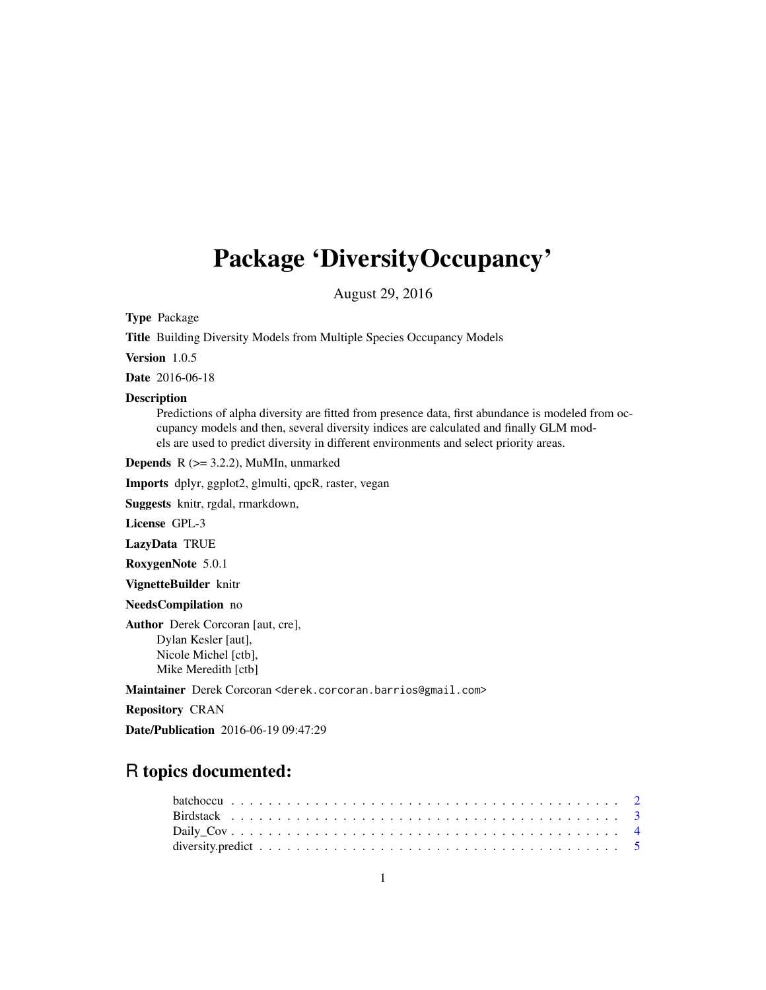# <span id="page-0-0"></span>Package 'DiversityOccupancy'

August 29, 2016

Type Package

Title Building Diversity Models from Multiple Species Occupancy Models

Version 1.0.5

Date 2016-06-18

#### Description

Predictions of alpha diversity are fitted from presence data, first abundance is modeled from occupancy models and then, several diversity indices are calculated and finally GLM models are used to predict diversity in different environments and select priority areas.

**Depends**  $R$  ( $>= 3.2.2$ ), MuMIn, unmarked

Imports dplyr, ggplot2, glmulti, qpcR, raster, vegan

Suggests knitr, rgdal, rmarkdown,

License GPL-3

LazyData TRUE

RoxygenNote 5.0.1

VignetteBuilder knitr

NeedsCompilation no

Author Derek Corcoran [aut, cre], Dylan Kesler [aut], Nicole Michel [ctb], Mike Meredith [ctb]

Maintainer Derek Corcoran <derek.corcoran.barrios@gmail.com>

Repository CRAN

Date/Publication 2016-06-19 09:47:29

# R topics documented: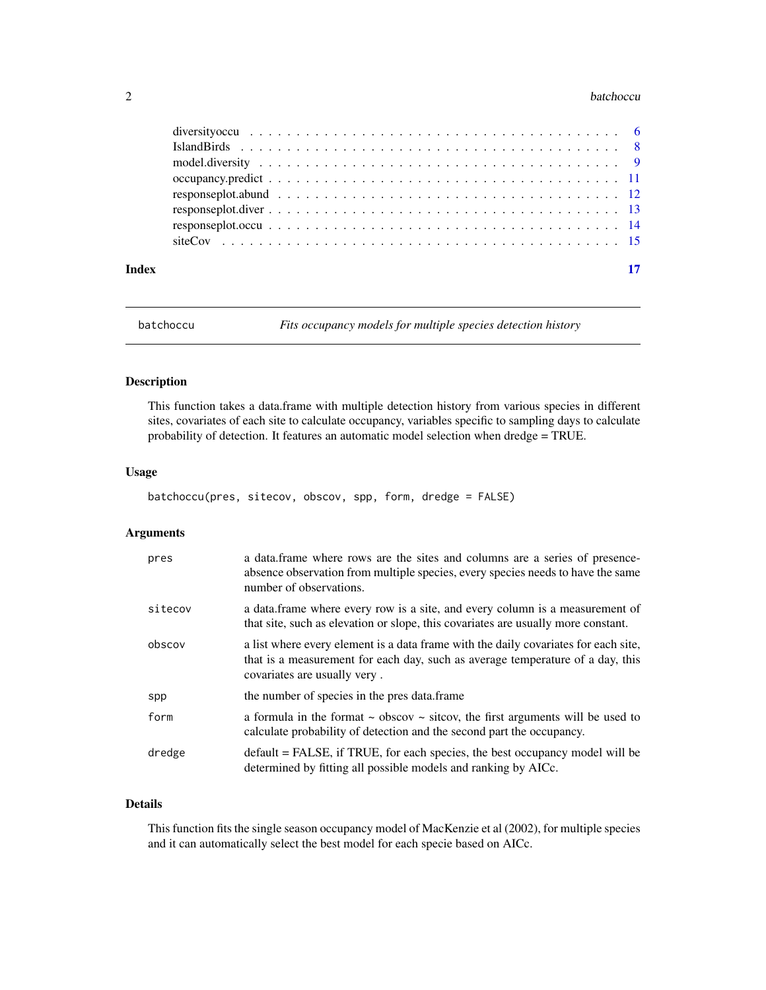#### <span id="page-1-0"></span>2 batchoccu and the state of the state of the state of the state of the state of the state of the state of the state of the state of the state of the state of the state of the state of the state of the state of the state o

| Index | 17 |
|-------|----|

<span id="page-1-1"></span>batchoccu *Fits occupancy models for multiple species detection history*

# Description

This function takes a data.frame with multiple detection history from various species in different sites, covariates of each site to calculate occupancy, variables specific to sampling days to calculate probability of detection. It features an automatic model selection when dredge = TRUE.

#### Usage

```
batchoccu(pres, sitecov, obscov, spp, form, dredge = FALSE)
```
# Arguments

| pres    | a data frame where rows are the sites and columns are a series of presence-<br>absence observation from multiple species, every species needs to have the same<br>number of observations.             |
|---------|-------------------------------------------------------------------------------------------------------------------------------------------------------------------------------------------------------|
| sitecov | a data frame where every row is a site, and every column is a measurement of<br>that site, such as elevation or slope, this covariates are usually more constant.                                     |
| obscov  | a list where every element is a data frame with the daily covariates for each site.<br>that is a measurement for each day, such as average temperature of a day, this<br>covariates are usually very. |
| spp     | the number of species in the pres data.frame                                                                                                                                                          |
| form    | a formula in the format $\sim$ obscov $\sim$ sitcov, the first arguments will be used to<br>calculate probability of detection and the second part the occupancy.                                     |
| dredge  | $default = FALSE$ , if TRUE, for each species, the best occupancy model will be<br>determined by fitting all possible models and ranking by AICc.                                                     |

# Details

This function fits the single season occupancy model of MacKenzie et al (2002), for multiple species and it can automatically select the best model for each specie based on AICc.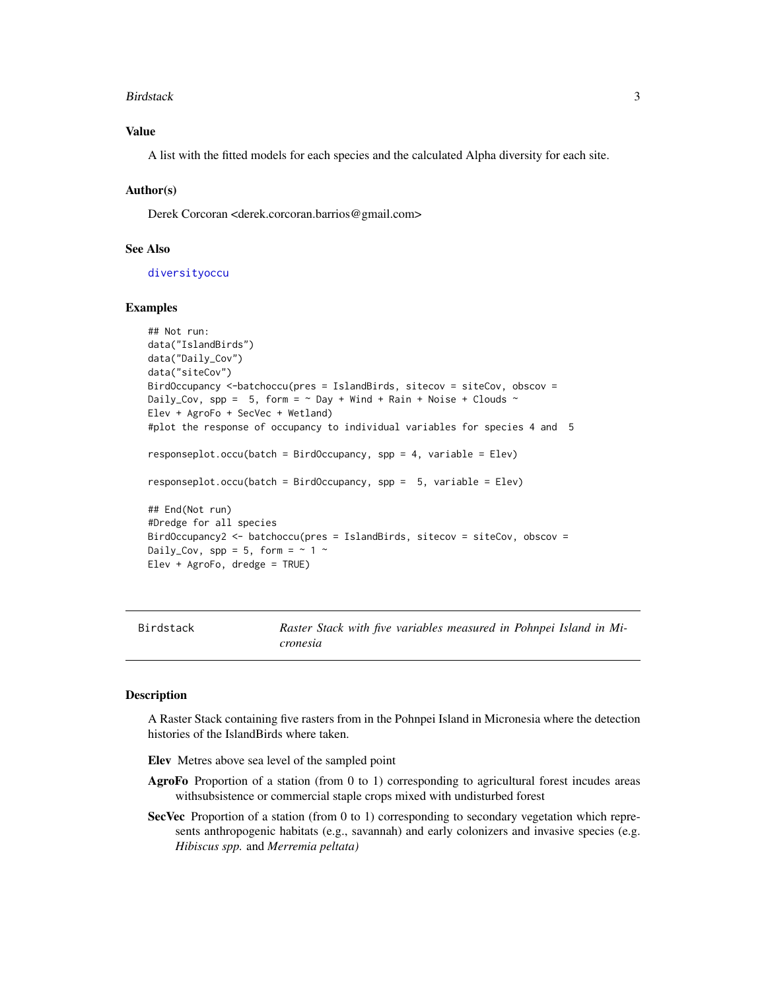#### <span id="page-2-0"></span>Birdstack 3

# Value

A list with the fitted models for each species and the calculated Alpha diversity for each site.

#### Author(s)

Derek Corcoran <derek.corcoran.barrios@gmail.com>

# See Also

[diversityoccu](#page-5-1)

# Examples

```
## Not run:
data("IslandBirds")
data("Daily_Cov")
data("siteCov")
BirdOccupancy <-batchoccu(pres = IslandBirds, sitecov = siteCov, obscov =
Daily_Cov, spp = 5, form = \sim Day + Wind + Rain + Noise + Clouds \simElev + AgroFo + SecVec + Wetland)
#plot the response of occupancy to individual variables for species 4 and 5
responseplot.ccu(batch = BirdOccupancy, spp = 4, variable = Elev)responseplot.occu(batch = BirdOccupancy, spp = 5, variable = Elev)
## End(Not run)
#Dredge for all species
BirdOccupancy2 <- batchoccu(pres = IslandBirds, sitecov = siteCov, obscov =
Daily_Cov, spp = 5, form = \sim 1 \simElev + AgroFo, dredge = TRUE)
```
Birdstack *Raster Stack with five variables measured in Pohnpei Island in Micronesia*

### Description

A Raster Stack containing five rasters from in the Pohnpei Island in Micronesia where the detection histories of the IslandBirds where taken.

Elev Metres above sea level of the sampled point

- AgroFo Proportion of a station (from 0 to 1) corresponding to agricultural forest incudes areas withsubsistence or commercial staple crops mixed with undisturbed forest
- SecVec Proportion of a station (from 0 to 1) corresponding to secondary vegetation which represents anthropogenic habitats (e.g., savannah) and early colonizers and invasive species (e.g. *Hibiscus spp.* and *Merremia peltata)*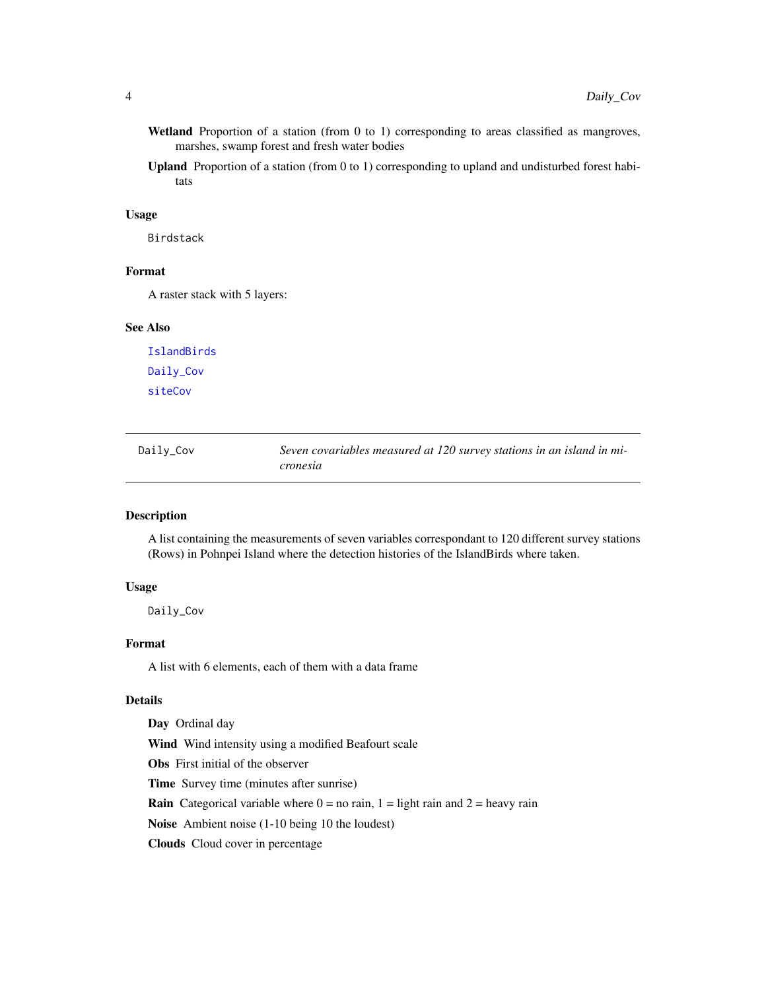- <span id="page-3-0"></span>Wetland Proportion of a station (from 0 to 1) corresponding to areas classified as mangroves, marshes, swamp forest and fresh water bodies
- Upland Proportion of a station (from 0 to 1) corresponding to upland and undisturbed forest habitats

#### Usage

Birdstack

# Format

A raster stack with 5 layers:

# See Also

[IslandBirds](#page-7-1) [Daily\\_Cov](#page-3-1) [siteCov](#page-14-1)

<span id="page-3-1"></span>

| Daily_Cov | Seven covariables measured at 120 survey stations in an island in mi- |
|-----------|-----------------------------------------------------------------------|
|           | cronesia                                                              |

# Description

A list containing the measurements of seven variables correspondant to 120 different survey stations (Rows) in Pohnpei Island where the detection histories of the IslandBirds where taken.

#### Usage

Daily\_Cov

#### Format

A list with 6 elements, each of them with a data frame

# Details

Day Ordinal day Wind Wind intensity using a modified Beafourt scale Obs First initial of the observer Time Survey time (minutes after sunrise) **Rain** Categorical variable where  $0 =$  no rain,  $1 =$  light rain and  $2 =$  heavy rain Noise Ambient noise (1-10 being 10 the loudest) Clouds Cloud cover in percentage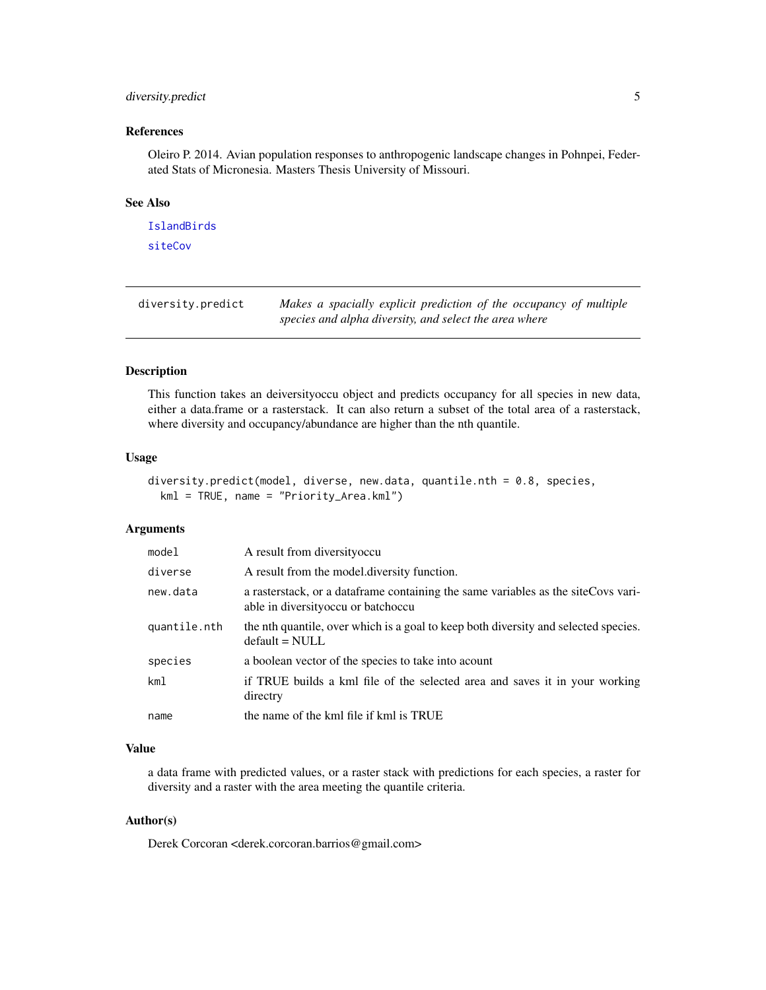# <span id="page-4-0"></span>diversity.predict 5

# References

Oleiro P. 2014. Avian population responses to anthropogenic landscape changes in Pohnpei, Federated Stats of Micronesia. Masters Thesis University of Missouri.

### See Also

[IslandBirds](#page-7-1) [siteCov](#page-14-1)

| diversity.predict | Makes a spacially explicit prediction of the occupancy of multiple |
|-------------------|--------------------------------------------------------------------|
|                   | species and alpha diversity, and select the area where             |

# Description

This function takes an deiversityoccu object and predicts occupancy for all species in new data, either a data.frame or a rasterstack. It can also return a subset of the total area of a rasterstack, where diversity and occupancy/abundance are higher than the nth quantile.

## Usage

```
diversity.predict(model, diverse, new.data, quantile.nth = 0.8, species,
 kml = TRUE, name = "Priority_Area.kml")
```
# Arguments

| model        | A result from diversity occu                                                                                                 |
|--------------|------------------------------------------------------------------------------------------------------------------------------|
| diverse      | A result from the model diversity function.                                                                                  |
| new.data     | a raster stack, or a data frame containing the same variables as the site Covs vari-<br>able in diversity occu or batch occu |
| quantile.nth | the nth quantile, over which is a goal to keep both diversity and selected species.<br>$default = NULL$                      |
| species      | a boolean vector of the species to take into acount                                                                          |
| km1          | if TRUE builds a kml file of the selected area and saves it in your working<br>directry                                      |
| name         | the name of the kml file if kml is TRUE                                                                                      |

# Value

a data frame with predicted values, or a raster stack with predictions for each species, a raster for diversity and a raster with the area meeting the quantile criteria.

# Author(s)

Derek Corcoran <derek.corcoran.barrios@gmail.com>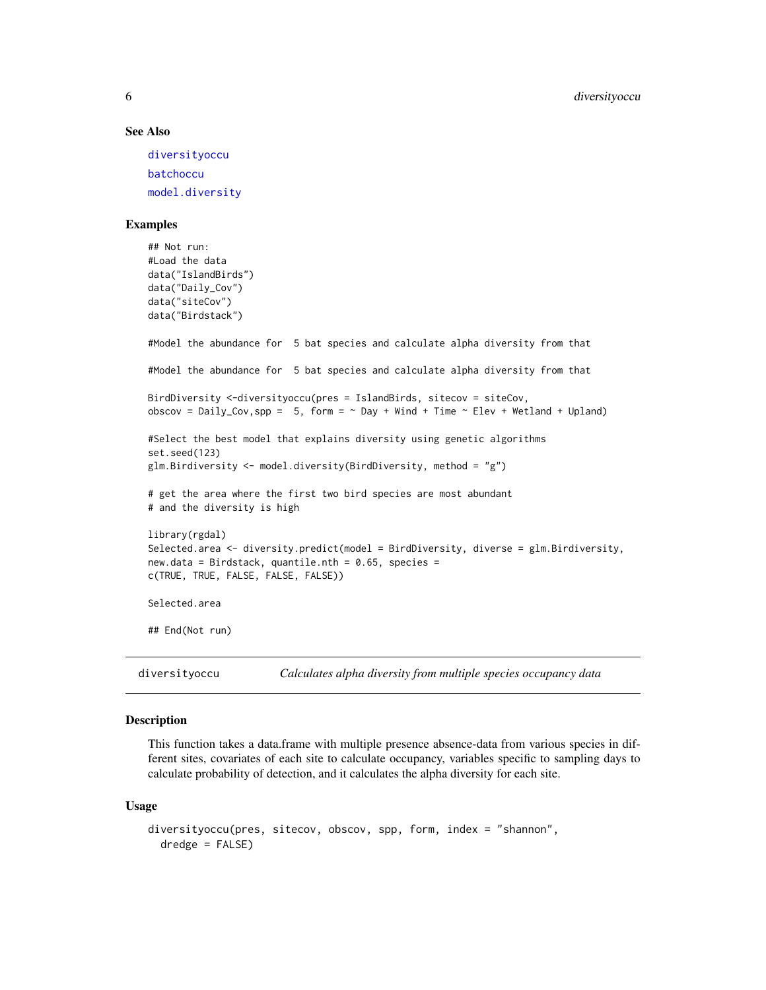#### See Also

[diversityoccu](#page-5-1) [batchoccu](#page-1-1) [model.diversity](#page-8-1)

#### Examples

```
## Not run:
#Load the data
data("IslandBirds")
data("Daily_Cov")
data("siteCov")
data("Birdstack")
#Model the abundance for 5 bat species and calculate alpha diversity from that
#Model the abundance for 5 bat species and calculate alpha diversity from that
BirdDiversity <-diversityoccu(pres = IslandBirds, sitecov = siteCov,
obscov = Daily_Cov,spp = 5, form = \sim Day + Wind + Time \sim Elev + Wetland + Upland)
#Select the best model that explains diversity using genetic algorithms
set.seed(123)
glm.Birdiversity <- model.diversity(BirdDiversity, method = "g")
# get the area where the first two bird species are most abundant
# and the diversity is high
library(rgdal)
Selected.area <- diversity.predict(model = BirdDiversity, diverse = glm.Birdiversity,
new.data = Birdstack, quantile.nth = 0.65, species =
c(TRUE, TRUE, FALSE, FALSE, FALSE))
Selected.area
## End(Not run)
```
<span id="page-5-1"></span>diversityoccu *Calculates alpha diversity from multiple species occupancy data*

# Description

This function takes a data.frame with multiple presence absence-data from various species in different sites, covariates of each site to calculate occupancy, variables specific to sampling days to calculate probability of detection, and it calculates the alpha diversity for each site.

#### Usage

```
diversityoccu(pres, sitecov, obscov, spp, form, index = "shannon",
 dredge = FALSE)
```
<span id="page-5-0"></span>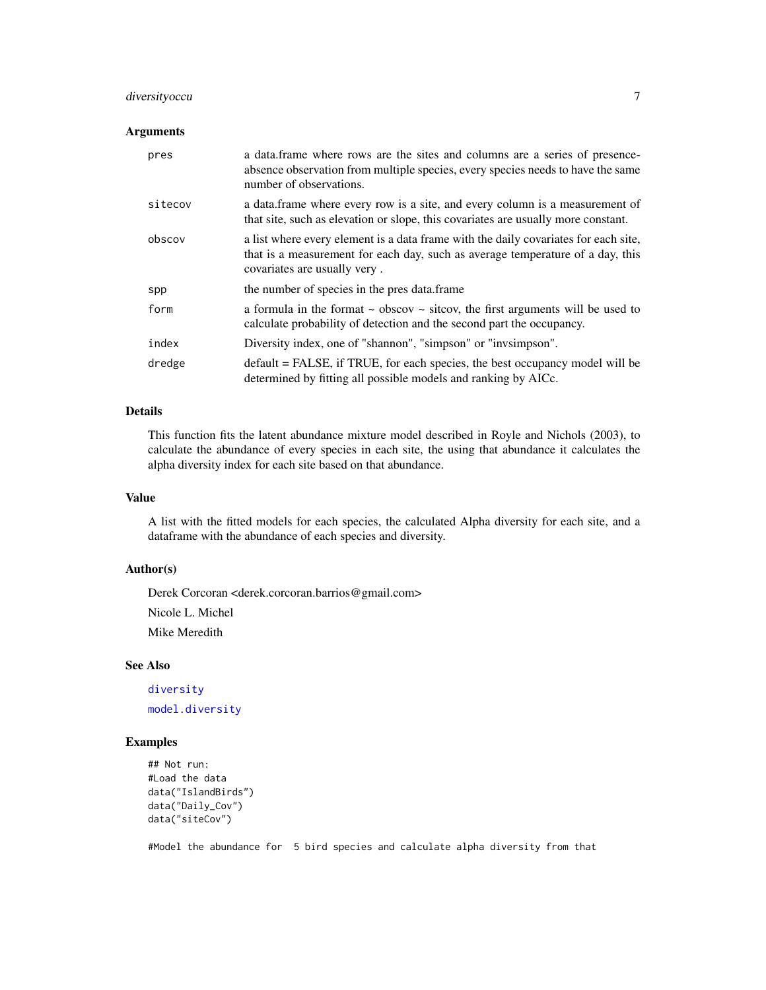# <span id="page-6-0"></span>diversityoccu 7

# Arguments

| pres    | a data frame where rows are the sites and columns are a series of presence-<br>absence observation from multiple species, every species needs to have the same<br>number of observations.             |
|---------|-------------------------------------------------------------------------------------------------------------------------------------------------------------------------------------------------------|
| sitecov | a data frame where every row is a site, and every column is a measurement of<br>that site, such as elevation or slope, this covariates are usually more constant.                                     |
| obscov  | a list where every element is a data frame with the daily covariates for each site,<br>that is a measurement for each day, such as average temperature of a day, this<br>covariates are usually very. |
| spp     | the number of species in the pres data.frame                                                                                                                                                          |
| form    | a formula in the format $\sim$ obscov $\sim$ sitcov, the first arguments will be used to<br>calculate probability of detection and the second part the occupancy.                                     |
| index   | Diversity index, one of "shannon", "simpson" or "invismpson".                                                                                                                                         |
| dredge  | default = FALSE, if TRUE, for each species, the best occupancy model will be<br>determined by fitting all possible models and ranking by AICc.                                                        |

# Details

This function fits the latent abundance mixture model described in Royle and Nichols (2003), to calculate the abundance of every species in each site, the using that abundance it calculates the alpha diversity index for each site based on that abundance.

#### Value

A list with the fitted models for each species, the calculated Alpha diversity for each site, and a dataframe with the abundance of each species and diversity.

# Author(s)

Derek Corcoran <derek.corcoran.barrios@gmail.com> Nicole L. Michel Mike Meredith

# See Also

[diversity](#page-0-0)

[model.diversity](#page-8-1)

# Examples

```
## Not run:
#Load the data
data("IslandBirds")
data("Daily_Cov")
data("siteCov")
```
#Model the abundance for 5 bird species and calculate alpha diversity from that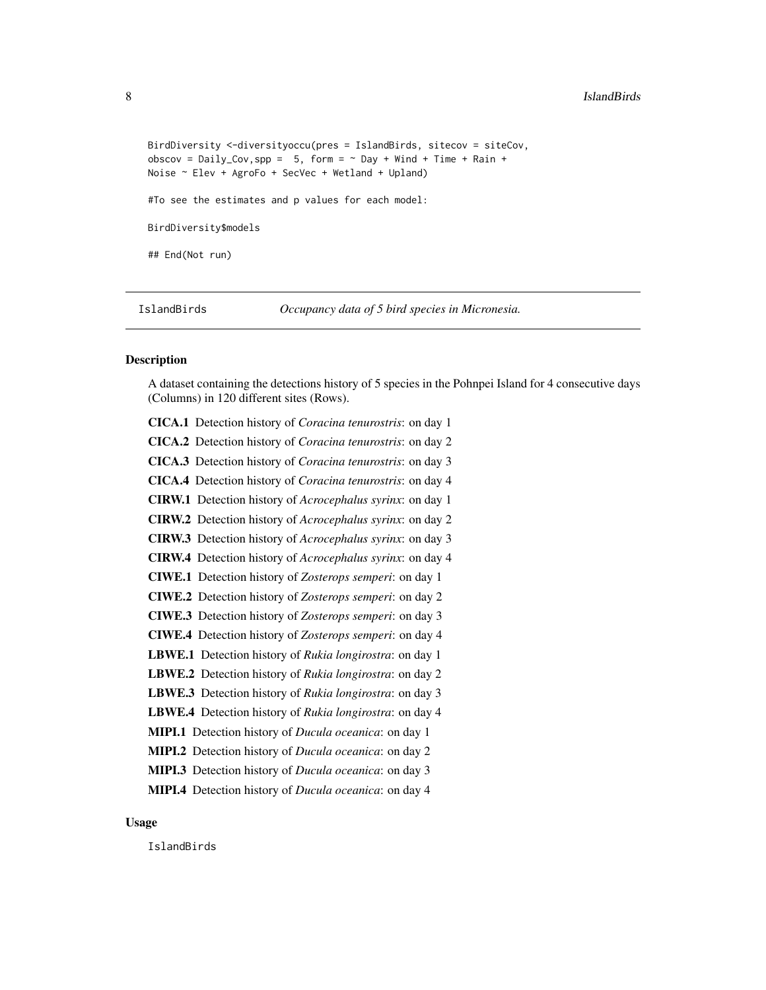```
BirdDiversity <-diversityoccu(pres = IslandBirds, sitecov = siteCov,
obscov = Daily_Cov, spp = 5, form = \sim Day + Wind + Time + Rain +
Noise ~ Elev + AgroFo + SecVec + Wetland + Upland)
#To see the estimates and p values for each model:
BirdDiversity$models
## End(Not run)
```
<span id="page-7-1"></span>IslandBirds *Occupancy data of 5 bird species in Micronesia.*

# Description

A dataset containing the detections history of 5 species in the Pohnpei Island for 4 consecutive days (Columns) in 120 different sites (Rows).

| CICA.1 Detection history of Coracina tenurostris: on day 1               |
|--------------------------------------------------------------------------|
| CICA.2 Detection history of Coracina tenurostris: on day 2               |
| CICA.3 Detection history of Coracina tenurostris: on day 3               |
| CICA.4 Detection history of Coracina tenurostris: on day 4               |
| <b>CIRW.1</b> Detection history of <i>Acrocephalus syrinx</i> : on day 1 |
| <b>CIRW.2</b> Detection history of <i>Acrocephalus syrinx</i> : on day 2 |
| <b>CIRW.3</b> Detection history of <i>Acrocephalus syrinx</i> : on day 3 |
| <b>CIRW.4</b> Detection history of <i>Acrocephalus syrinx</i> : on day 4 |
| <b>CIWE.1</b> Detection history of Zosterops semperi: on day 1           |
| CIWE.2 Detection history of Zosterops semperi: on day 2                  |
| <b>CIWE.3</b> Detection history of Zosterops semperi: on day 3           |
| CIWE.4 Detection history of Zosterops semperi: on day 4                  |
| <b>LBWE.1</b> Detection history of Rukia longirostra: on day 1           |
| LBWE.2 Detection history of Rukia longirostra: on day 2                  |
| <b>LBWE.3</b> Detection history of Rukia longirostra: on day 3           |
| LBWE.4 Detection history of Rukia longirostra: on day 4                  |
| MIPI.1 Detection history of <i>Ducula oceanica</i> : on day 1            |
| MIPI.2 Detection history of Ducula oceanica: on day 2                    |
| MIPI.3 Detection history of <i>Ducula oceanica</i> : on day 3            |
| MIPI.4 Detection history of <i>Ducula oceanica</i> : on day 4            |
|                                                                          |

# Usage

IslandBirds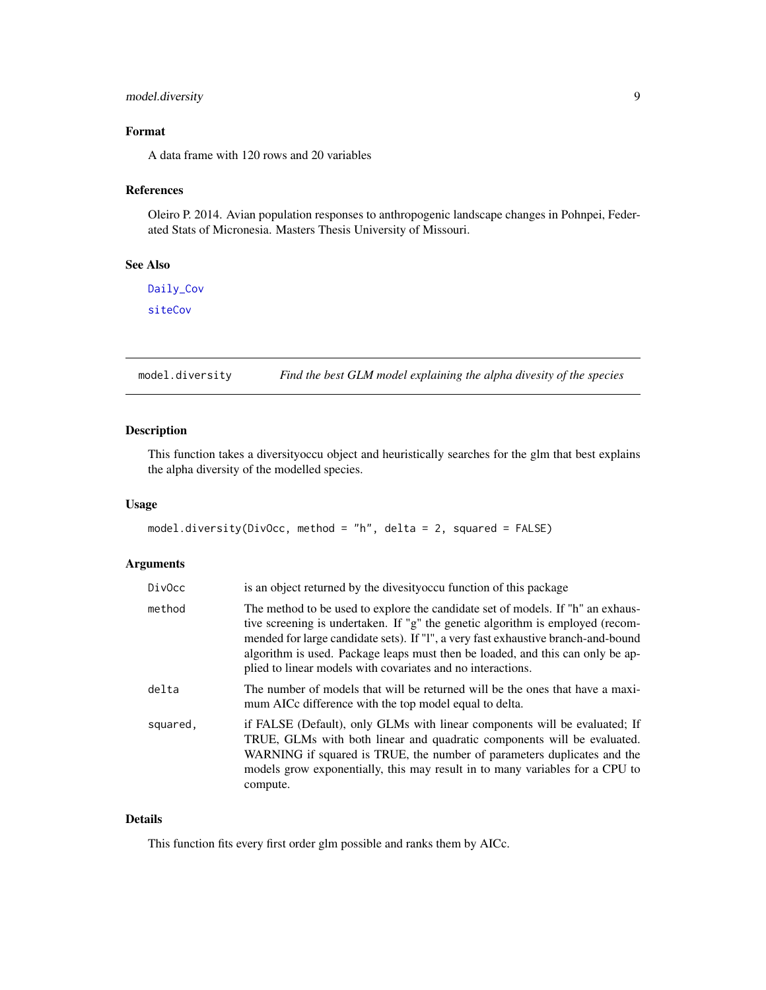# <span id="page-8-0"></span>model.diversity 9

# Format

A data frame with 120 rows and 20 variables

#### References

Oleiro P. 2014. Avian population responses to anthropogenic landscape changes in Pohnpei, Federated Stats of Micronesia. Masters Thesis University of Missouri.

# See Also

[Daily\\_Cov](#page-3-1) [siteCov](#page-14-1)

<span id="page-8-1"></span>model.diversity *Find the best GLM model explaining the alpha divesity of the species*

# Description

This function takes a diversityoccu object and heuristically searches for the glm that best explains the alpha diversity of the modelled species.

#### Usage

```
model.diversity(DivOcc, method = "h", delta = 2, squared = FALSE)
```
# Arguments

| DivOcc   | is an object returned by the divesity occur function of this package                                                                                                                                                                                                                                                                                                                                    |
|----------|---------------------------------------------------------------------------------------------------------------------------------------------------------------------------------------------------------------------------------------------------------------------------------------------------------------------------------------------------------------------------------------------------------|
| method   | The method to be used to explore the candidate set of models. If "h" an exhaus-<br>tive screening is undertaken. If "g" the genetic algorithm is employed (recom-<br>mended for large candidate sets). If "l", a very fast exhaustive branch-and-bound<br>algorithm is used. Package leaps must then be loaded, and this can only be ap-<br>plied to linear models with covariates and no interactions. |
| delta    | The number of models that will be returned will be the ones that have a maxi-<br>mum AICc difference with the top model equal to delta.                                                                                                                                                                                                                                                                 |
| squared. | if FALSE (Default), only GLMs with linear components will be evaluated; If<br>TRUE, GLMs with both linear and quadratic components will be evaluated.<br>WARNING if squared is TRUE, the number of parameters duplicates and the<br>models grow exponentially, this may result in to many variables for a CPU to<br>compute.                                                                            |

# Details

This function fits every first order glm possible and ranks them by AICc.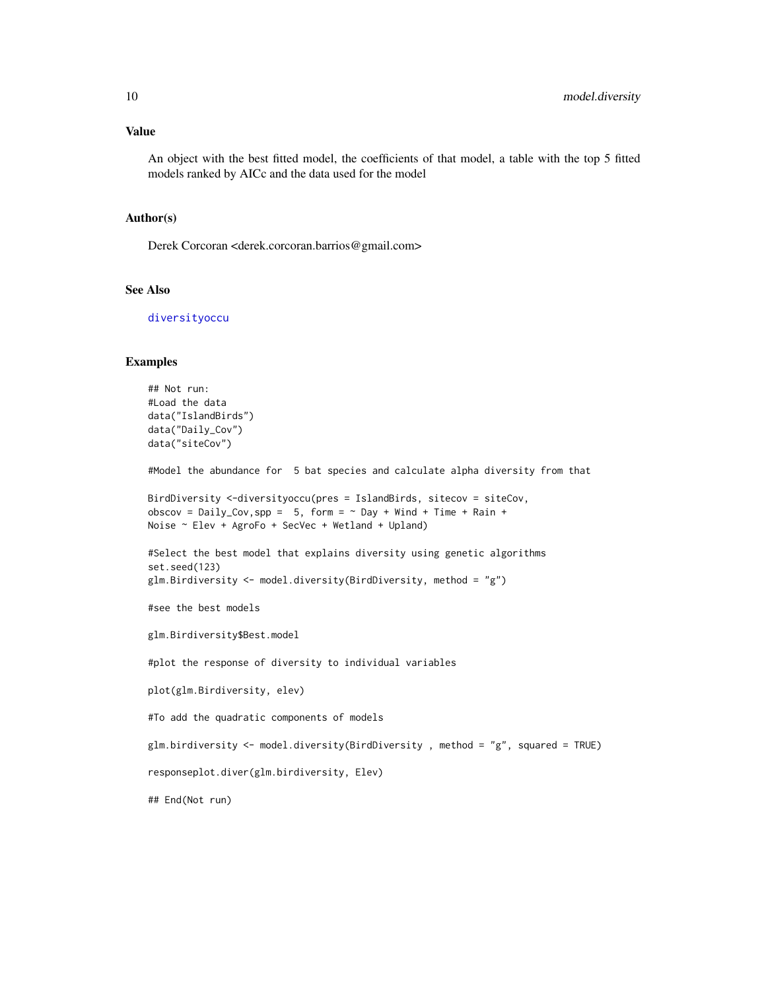#### <span id="page-9-0"></span>Value

An object with the best fitted model, the coefficients of that model, a table with the top 5 fitted models ranked by AICc and the data used for the model

#### Author(s)

Derek Corcoran <derek.corcoran.barrios@gmail.com>

#### See Also

[diversityoccu](#page-5-1)

#### Examples

```
## Not run:
#Load the data
data("IslandBirds")
data("Daily_Cov")
data("siteCov")
#Model the abundance for 5 bat species and calculate alpha diversity from that
BirdDiversity <-diversityoccu(pres = IslandBirds, sitecov = siteCov,
obscov = Daily_Cov, spp = 5, form = \sim Day + Wind + Time + Rain +
Noise ~ Elev + AgroFo + SecVec + Wetland + Upland)
#Select the best model that explains diversity using genetic algorithms
set.seed(123)
glm.Birdiversity <- model.diversity(BirdDiversity, method = "g")
#see the best models
glm.Birdiversity$Best.model
#plot the response of diversity to individual variables
plot(glm.Birdiversity, elev)
#To add the quadratic components of models
glm.birdiversity <- model.diversity(BirdDiversity , method = "g", squared = TRUE)
responseplot.diver(glm.birdiversity, Elev)
## End(Not run)
```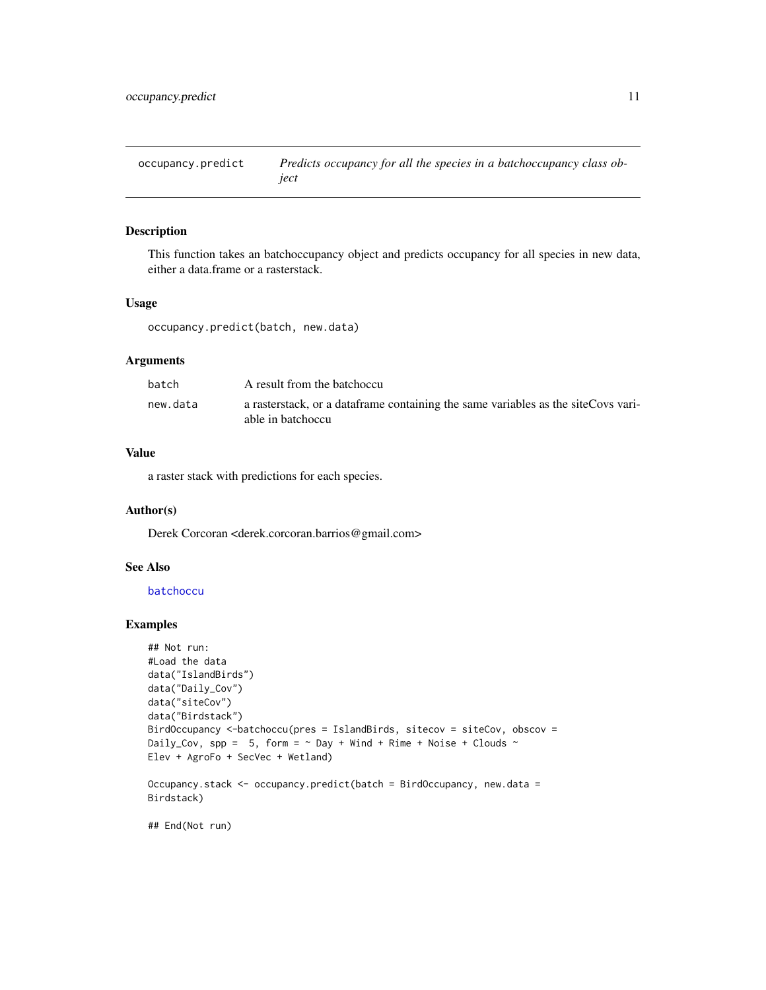<span id="page-10-0"></span>occupancy.predict *Predicts occupancy for all the species in a batchoccupancy class object*

#### Description

This function takes an batchoccupancy object and predicts occupancy for all species in new data, either a data.frame or a rasterstack.

# Usage

occupancy.predict(batch, new.data)

# Arguments

| batch    | A result from the batchoccu                                                                              |
|----------|----------------------------------------------------------------------------------------------------------|
| new.data | a rasterstack, or a data frame containing the same variables as the site Covs vari-<br>able in batchoccu |

# Value

a raster stack with predictions for each species.

# Author(s)

Derek Corcoran <derek.corcoran.barrios@gmail.com>

# See Also

# [batchoccu](#page-1-1)

# Examples

```
## Not run:
#Load the data
data("IslandBirds")
data("Daily_Cov")
data("siteCov")
data("Birdstack")
BirdOccupancy <-batchoccu(pres = IslandBirds, sitecov = siteCov, obscov =
Daily_Cov, spp = 5, form = \sim Day + Wind + Rime + Noise + Clouds \simElev + AgroFo + SecVec + Wetland)
Occupancy.stack <- occupancy.predict(batch = BirdOccupancy, new.data =
Birdstack)
```
## End(Not run)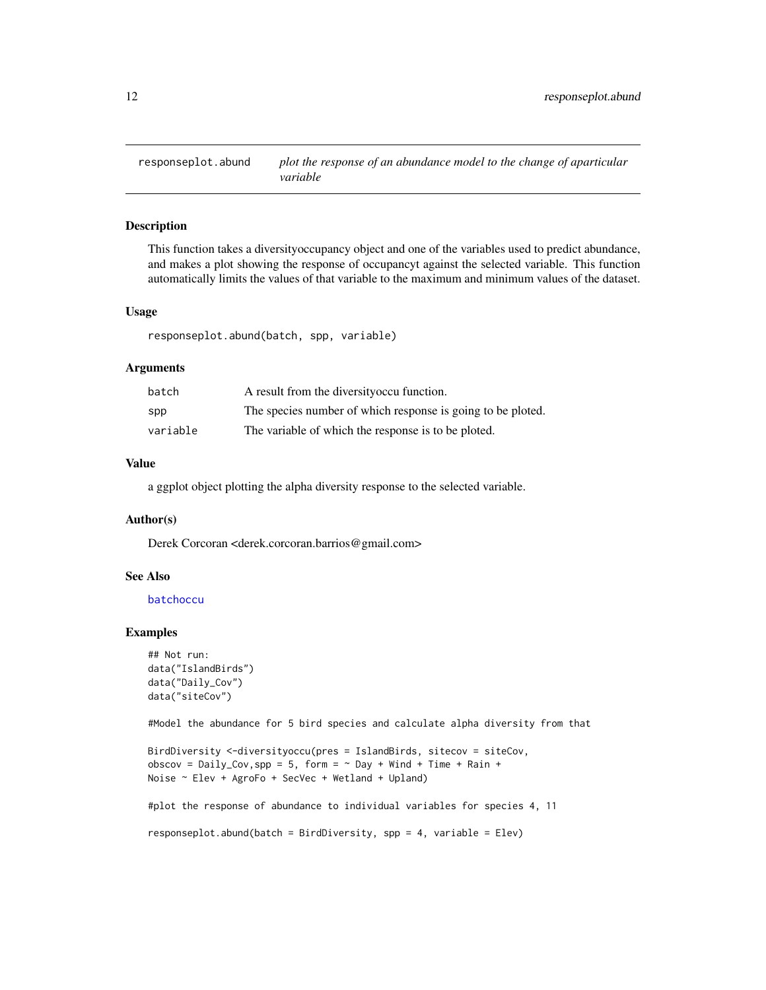<span id="page-11-0"></span>

# Description

This function takes a diversityoccupancy object and one of the variables used to predict abundance, and makes a plot showing the response of occupancyt against the selected variable. This function automatically limits the values of that variable to the maximum and minimum values of the dataset.

#### Usage

responseplot.abund(batch, spp, variable)

#### Arguments

| batch    | A result from the diversity occu function.                  |
|----------|-------------------------------------------------------------|
| spp      | The species number of which response is going to be ploted. |
| variable | The variable of which the response is to be ploted.         |

# Value

a ggplot object plotting the alpha diversity response to the selected variable.

#### Author(s)

Derek Corcoran <derek.corcoran.barrios@gmail.com>

# See Also

#### [batchoccu](#page-1-1)

#### Examples

```
## Not run:
data("IslandBirds")
data("Daily_Cov")
data("siteCov")
```
#Model the abundance for 5 bird species and calculate alpha diversity from that

```
BirdDiversity <-diversityoccu(pres = IslandBirds, sitecov = siteCov,
obscov = Daily_Cov, spp = 5, form = \sim Day + Wind + Time + Rain +
Noise ~ Elev + AgroFo + SecVec + Wetland + Upland)
```
#plot the response of abundance to individual variables for species 4, 11

responseplot.abund(batch = BirdDiversity, spp = 4, variable = Elev)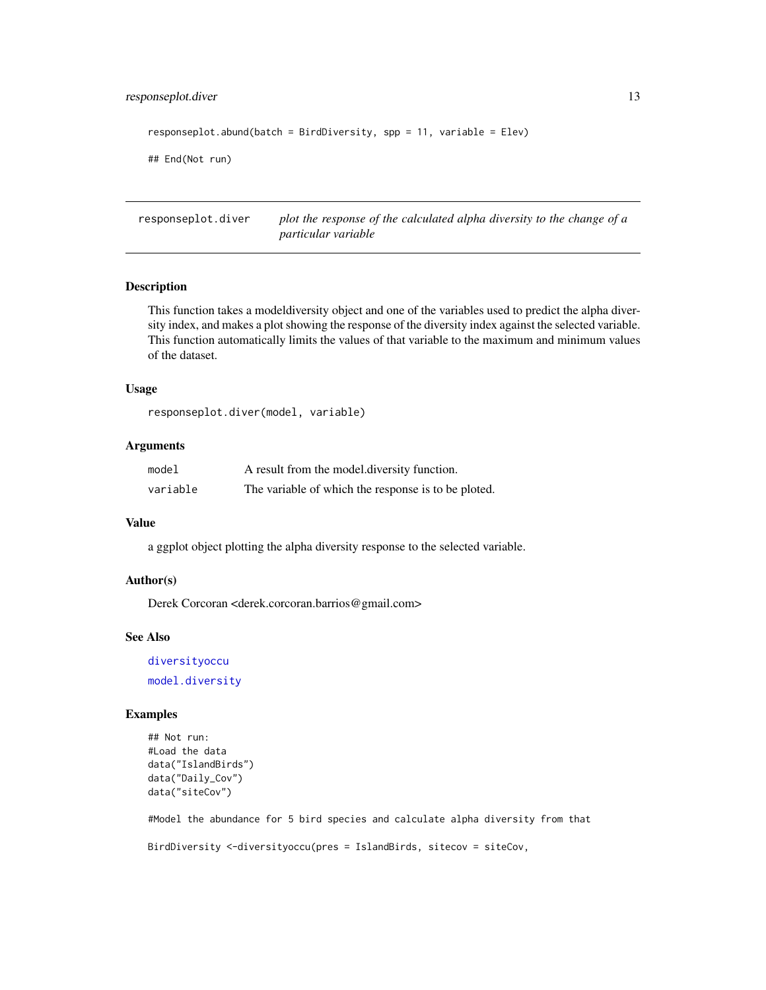# <span id="page-12-0"></span>responseplot.diver 13

```
responseplot.abund(batch = BirdDiversity, spp = 11, variable = Elev)
## End(Not run)
```
responseplot.diver *plot the response of the calculated alpha diversity to the change of a particular variable*

#### Description

This function takes a modeldiversity object and one of the variables used to predict the alpha diversity index, and makes a plot showing the response of the diversity index against the selected variable. This function automatically limits the values of that variable to the maximum and minimum values of the dataset.

#### Usage

responseplot.diver(model, variable)

# Arguments

| model    | A result from the model diversity function.         |
|----------|-----------------------------------------------------|
| variable | The variable of which the response is to be ploted. |

# Value

a ggplot object plotting the alpha diversity response to the selected variable.

#### Author(s)

Derek Corcoran <derek.corcoran.barrios@gmail.com>

# See Also

[diversityoccu](#page-5-1) [model.diversity](#page-8-1)

# Examples

```
## Not run:
#Load the data
data("IslandBirds")
data("Daily_Cov")
data("siteCov")
```
#Model the abundance for 5 bird species and calculate alpha diversity from that BirdDiversity <-diversityoccu(pres = IslandBirds, sitecov = siteCov,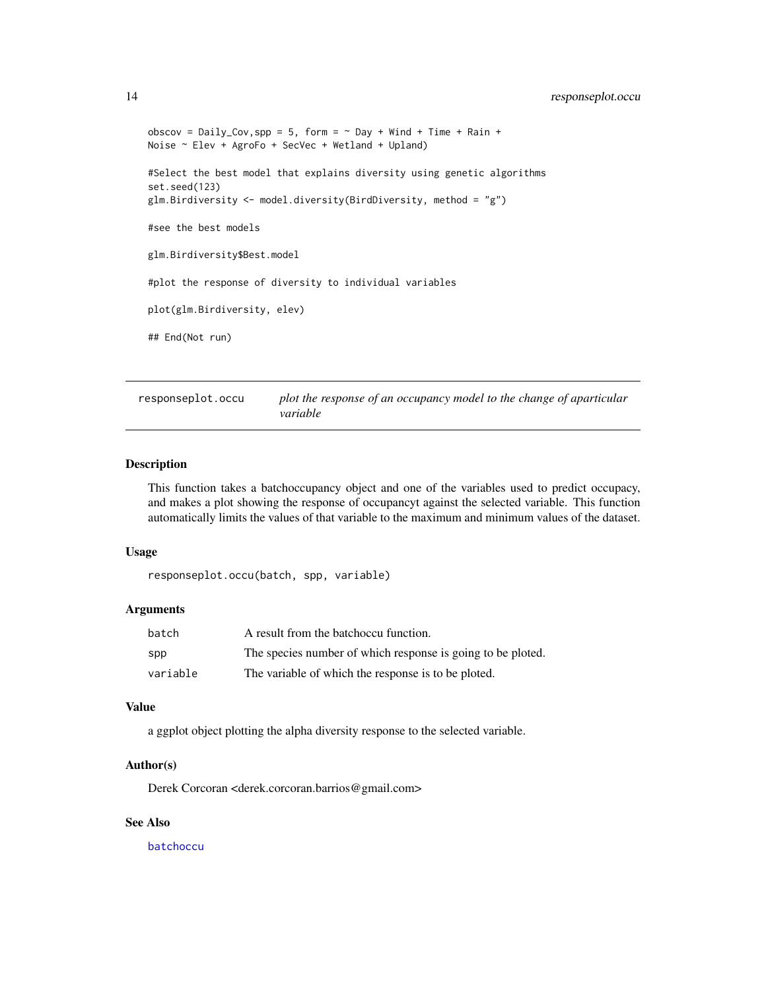```
obscov = Daily_Cov,spp = 5, form = \sim Day + Wind + Time + Rain +
Noise ~ Elev + AgroFo + SecVec + Wetland + Upland)
#Select the best model that explains diversity using genetic algorithms
set.seed(123)
glm.Birdiversity <- model.diversity(BirdDiversity, method = "g")
#see the best models
glm.Birdiversity$Best.model
#plot the response of diversity to individual variables
plot(glm.Birdiversity, elev)
## End(Not run)
```
responseplot.occu *plot the response of an occupancy model to the change of aparticular variable*

# Description

This function takes a batchoccupancy object and one of the variables used to predict occupacy, and makes a plot showing the response of occupancyt against the selected variable. This function automatically limits the values of that variable to the maximum and minimum values of the dataset.

#### Usage

```
responseplot.occu(batch, spp, variable)
```
# Arguments

| batch    | A result from the batchoccu function.                       |
|----------|-------------------------------------------------------------|
| spp      | The species number of which response is going to be ploted. |
| variable | The variable of which the response is to be ploted.         |

# Value

a ggplot object plotting the alpha diversity response to the selected variable.

# Author(s)

Derek Corcoran <derek.corcoran.barrios@gmail.com>

# See Also

[batchoccu](#page-1-1)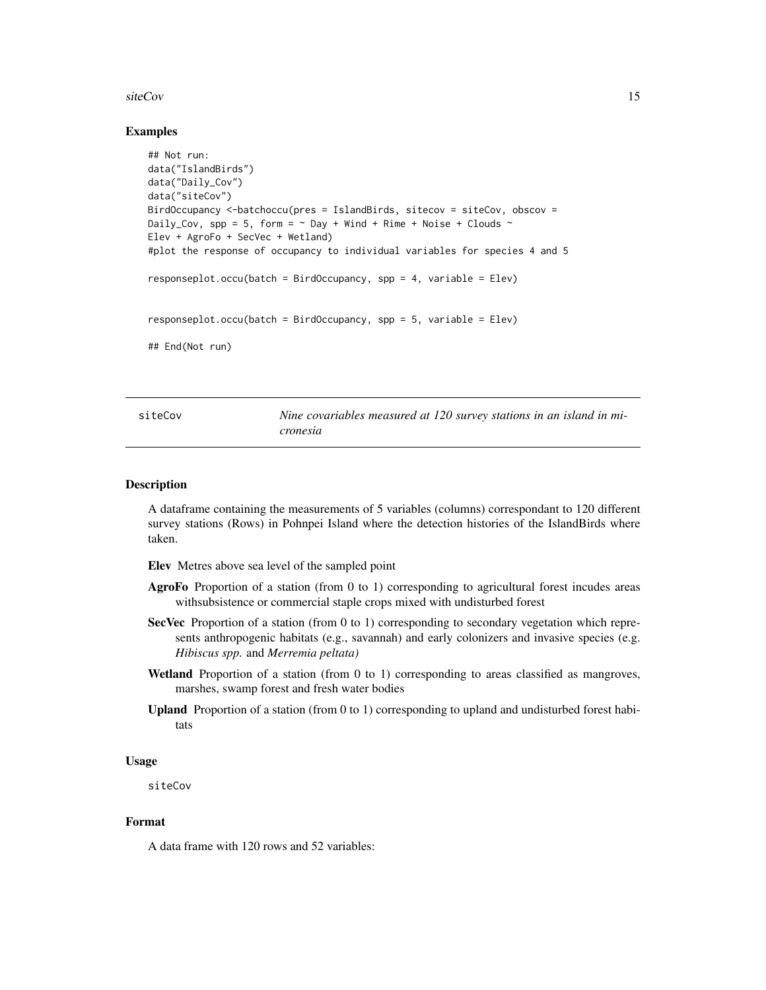#### <span id="page-14-0"></span>siteCov and the state of the state of the state of the state of the state of the state of the state of the state of the state of the state of the state of the state of the state of the state of the state of the state of th

#### Examples

```
## Not run:
data("IslandBirds")
data("Daily_Cov")
data("siteCov")
BirdOccupancy <-batchoccu(pres = IslandBirds, sitecov = siteCov, obscov =
Daily_Cov, spp = 5, form = \sim Day + Wind + Rime + Noise + Clouds \simElev + AgroFo + SecVec + Wetland)
#plot the response of occupancy to individual variables for species 4 and 5
responseplot.ccu(batch = BirdOccupancy, spp = 4, variable = Elev)responseplot.occu(batch = BirdOccupancy, spp = 5, variable = Elev)
## End(Not run)
```
<span id="page-14-1"></span>siteCov *Nine covariables measured at 120 survey stations in an island in micronesia*

#### Description

A dataframe containing the measurements of 5 variables (columns) correspondant to 120 different survey stations (Rows) in Pohnpei Island where the detection histories of the IslandBirds where taken.

Elev Metres above sea level of the sampled point

- AgroFo Proportion of a station (from 0 to 1) corresponding to agricultural forest incudes areas withsubsistence or commercial staple crops mixed with undisturbed forest
- SecVec Proportion of a station (from 0 to 1) corresponding to secondary vegetation which represents anthropogenic habitats (e.g., savannah) and early colonizers and invasive species (e.g. *Hibiscus spp.* and *Merremia peltata)*
- Wetland Proportion of a station (from 0 to 1) corresponding to areas classified as mangroves, marshes, swamp forest and fresh water bodies
- **Upland** Proportion of a station (from  $0$  to  $1$ ) corresponding to upland and undisturbed forest habitats

#### Usage

siteCov

#### Format

A data frame with 120 rows and 52 variables: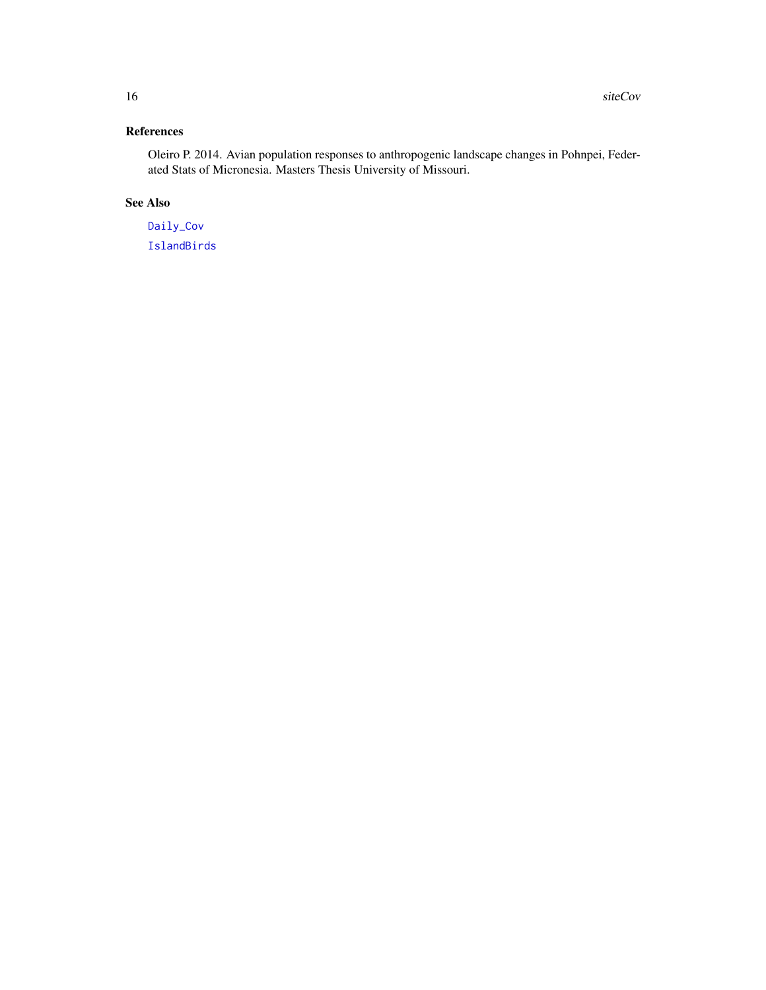# <span id="page-15-0"></span>References

Oleiro P. 2014. Avian population responses to anthropogenic landscape changes in Pohnpei, Federated Stats of Micronesia. Masters Thesis University of Missouri.

# See Also

[Daily\\_Cov](#page-3-1) [IslandBirds](#page-7-1)